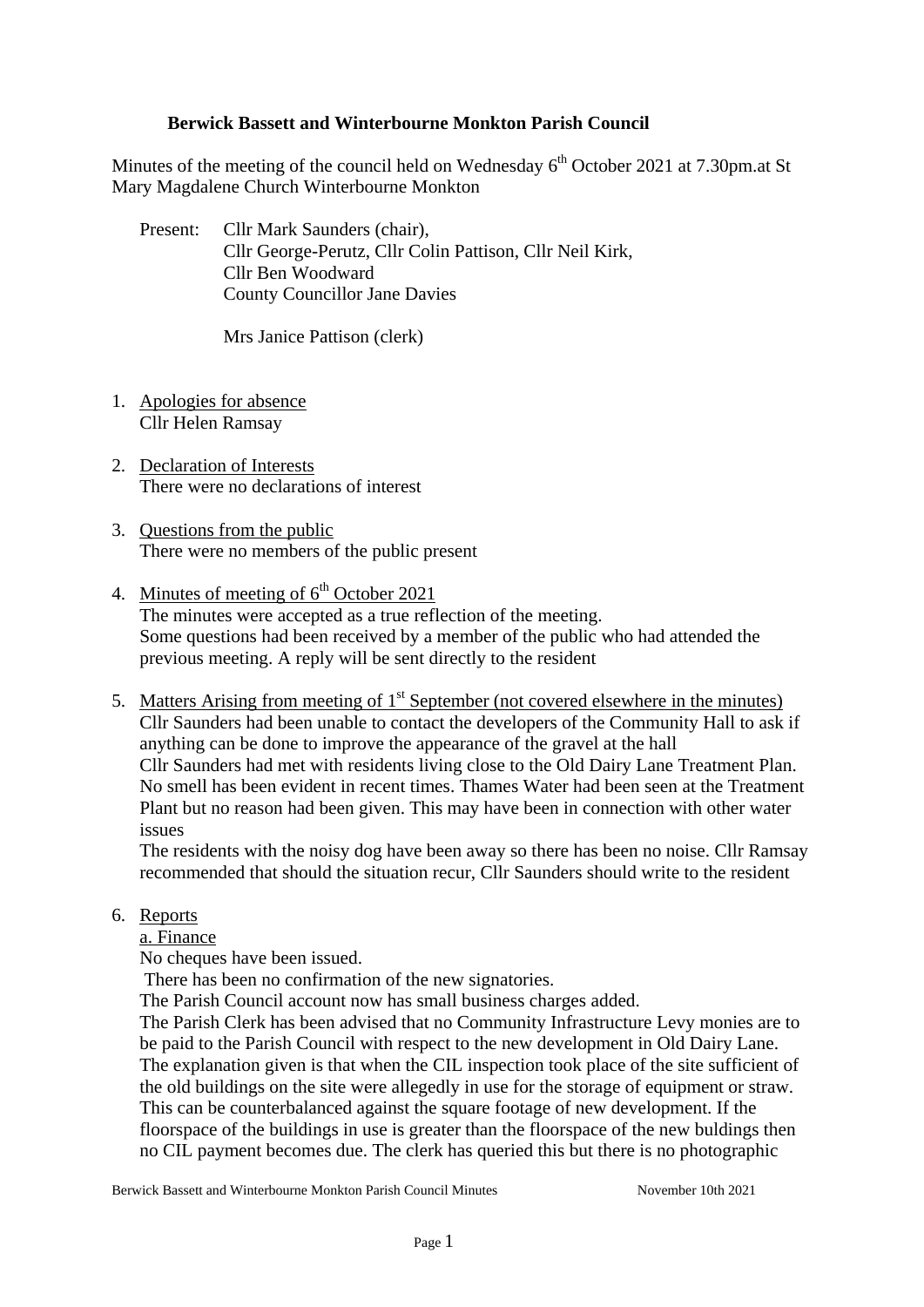## **Berwick Bassett and Winterbourne Monkton Parish Council**

Minutes of the meeting of the council held on Wednesday  $6<sup>th</sup>$  October 2021 at 7.30pm.at St Mary Magdalene Church Winterbourne Monkton

Present: Cllr Mark Saunders (chair), Cllr George-Perutz, Cllr Colin Pattison, Cllr Neil Kirk, Cllr Ben Woodward County Councillor Jane Davies

Mrs Janice Pattison (clerk)

- 1. Apologies for absence Cllr Helen Ramsay
- 2. Declaration of Interests There were no declarations of interest
- 3. Questions from the public There were no members of the public present
- 4. Minutes of meeting of  $6<sup>th</sup>$  October 2021 The minutes were accepted as a true reflection of the meeting. Some questions had been received by a member of the public who had attended the previous meeting. A reply will be sent directly to the resident
- 5. Matters Arising from meeting of  $1<sup>st</sup>$  September (not covered elsewhere in the minutes) Cllr Saunders had been unable to contact the developers of the Community Hall to ask if anything can be done to improve the appearance of the gravel at the hall Cllr Saunders had met with residents living close to the Old Dairy Lane Treatment Plan. No smell has been evident in recent times. Thames Water had been seen at the Treatment Plant but no reason had been given. This may have been in connection with other water issues

The residents with the noisy dog have been away so there has been no noise. Cllr Ramsay recommended that should the situation recur, Cllr Saunders should write to the resident

6. Reports

a. Finance

No cheques have been issued.

There has been no confirmation of the new signatories.

The Parish Council account now has small business charges added.

The Parish Clerk has been advised that no Community Infrastructure Levy monies are to be paid to the Parish Council with respect to the new development in Old Dairy Lane. The explanation given is that when the CIL inspection took place of the site sufficient of the old buildings on the site were allegedly in use for the storage of equipment or straw. This can be counterbalanced against the square footage of new development. If the floorspace of the buildings in use is greater than the floorspace of the new buldings then no CIL payment becomes due. The clerk has queried this but there is no photographic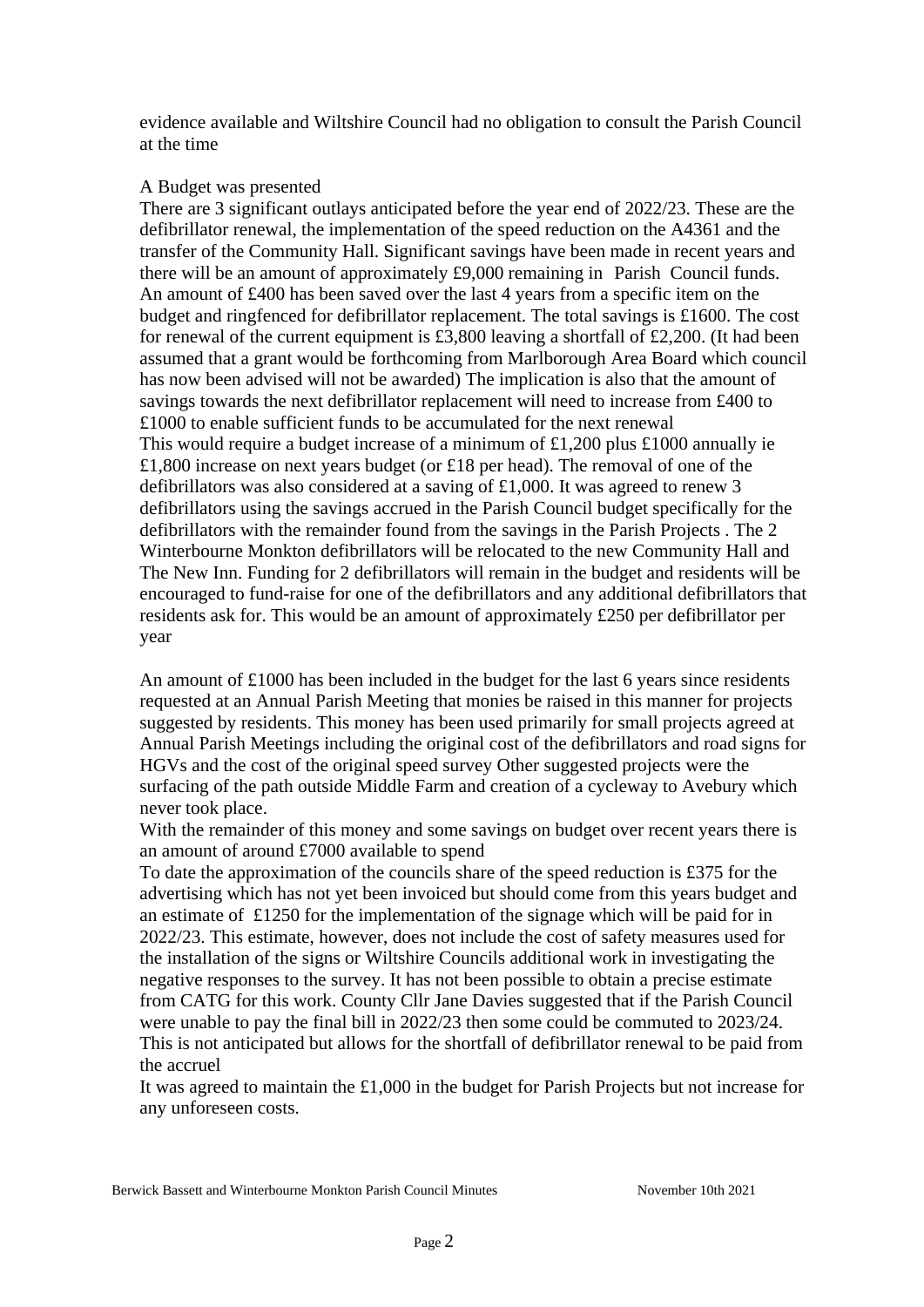evidence available and Wiltshire Council had no obligation to consult the Parish Council at the time

### A Budget was presented

There are 3 significant outlays anticipated before the year end of 2022/23. These are the defibrillator renewal, the implementation of the speed reduction on the A4361 and the transfer of the Community Hall. Significant savings have been made in recent years and there will be an amount of approximately £9,000 remaining in Parish Council funds. An amount of £400 has been saved over the last 4 years from a specific item on the budget and ringfenced for defibrillator replacement. The total savings is £1600. The cost for renewal of the current equipment is £3,800 leaving a shortfall of £2,200. (It had been assumed that a grant would be forthcoming from Marlborough Area Board which council has now been advised will not be awarded) The implication is also that the amount of savings towards the next defibrillator replacement will need to increase from £400 to £1000 to enable sufficient funds to be accumulated for the next renewal This would require a budget increase of a minimum of £1,200 plus £1000 annually ie £1,800 increase on next years budget (or £18 per head). The removal of one of the defibrillators was also considered at a saving of £1,000. It was agreed to renew 3 defibrillators using the savings accrued in the Parish Council budget specifically for the defibrillators with the remainder found from the savings in the Parish Projects . The 2 Winterbourne Monkton defibrillators will be relocated to the new Community Hall and The New Inn. Funding for 2 defibrillators will remain in the budget and residents will be encouraged to fund-raise for one of the defibrillators and any additional defibrillators that residents ask for. This would be an amount of approximately £250 per defibrillator per year

An amount of £1000 has been included in the budget for the last 6 years since residents requested at an Annual Parish Meeting that monies be raised in this manner for projects suggested by residents. This money has been used primarily for small projects agreed at Annual Parish Meetings including the original cost of the defibrillators and road signs for HGVs and the cost of the original speed survey Other suggested projects were the surfacing of the path outside Middle Farm and creation of a cycleway to Avebury which never took place.

With the remainder of this money and some savings on budget over recent years there is an amount of around £7000 available to spend

To date the approximation of the councils share of the speed reduction is £375 for the advertising which has not yet been invoiced but should come from this years budget and an estimate of £1250 for the implementation of the signage which will be paid for in 2022/23. This estimate, however, does not include the cost of safety measures used for the installation of the signs or Wiltshire Councils additional work in investigating the negative responses to the survey. It has not been possible to obtain a precise estimate from CATG for this work. County Cllr Jane Davies suggested that if the Parish Council were unable to pay the final bill in 2022/23 then some could be commuted to 2023/24. This is not anticipated but allows for the shortfall of defibrillator renewal to be paid from the accruel

It was agreed to maintain the £1,000 in the budget for Parish Projects but not increase for any unforeseen costs.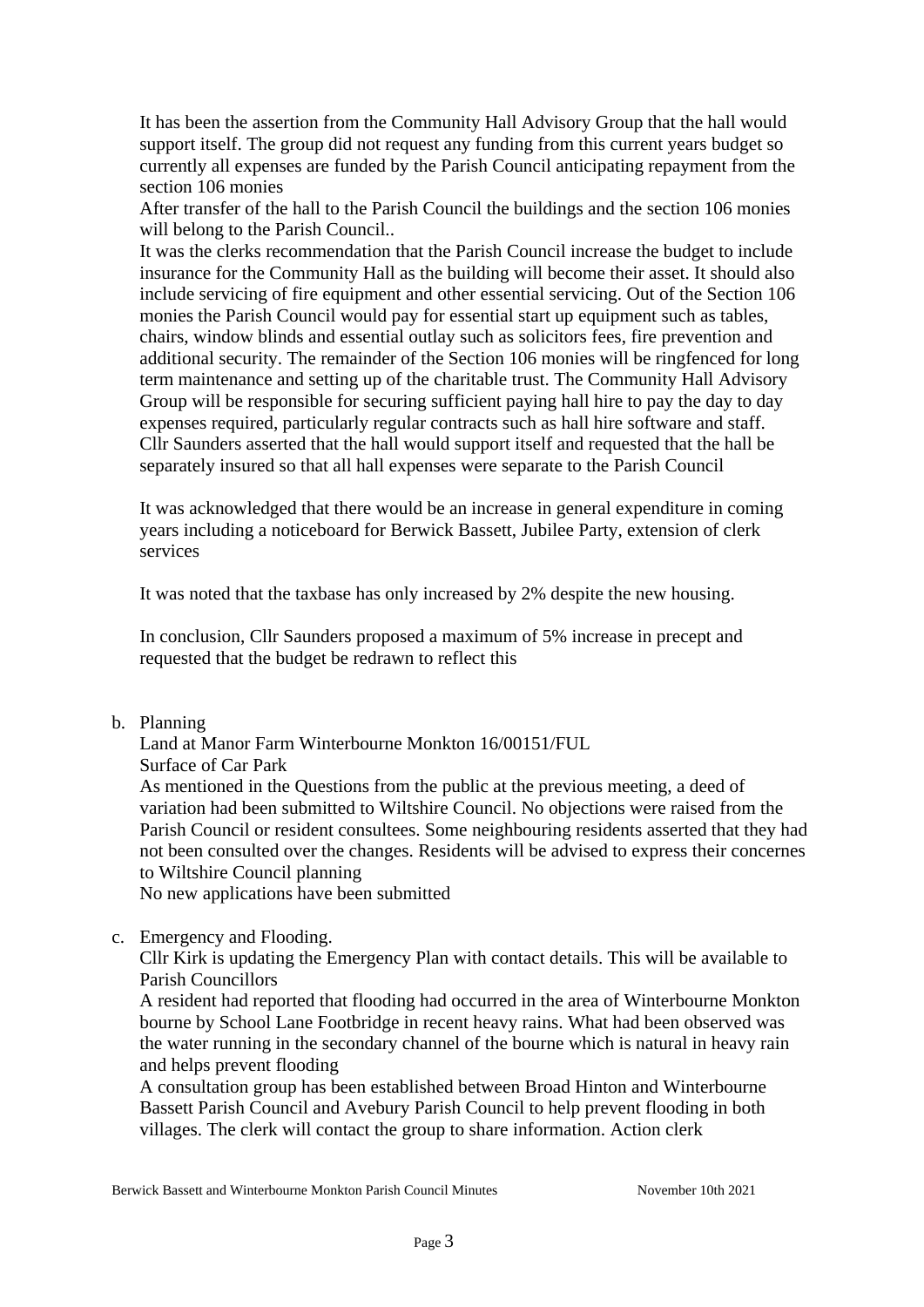It has been the assertion from the Community Hall Advisory Group that the hall would support itself. The group did not request any funding from this current years budget so currently all expenses are funded by the Parish Council anticipating repayment from the section 106 monies

After transfer of the hall to the Parish Council the buildings and the section 106 monies will belong to the Parish Council..

It was the clerks recommendation that the Parish Council increase the budget to include insurance for the Community Hall as the building will become their asset. It should also include servicing of fire equipment and other essential servicing. Out of the Section 106 monies the Parish Council would pay for essential start up equipment such as tables, chairs, window blinds and essential outlay such as solicitors fees, fire prevention and additional security. The remainder of the Section 106 monies will be ringfenced for long term maintenance and setting up of the charitable trust. The Community Hall Advisory Group will be responsible for securing sufficient paying hall hire to pay the day to day expenses required, particularly regular contracts such as hall hire software and staff. Cllr Saunders asserted that the hall would support itself and requested that the hall be separately insured so that all hall expenses were separate to the Parish Council

It was acknowledged that there would be an increase in general expenditure in coming years including a noticeboard for Berwick Bassett, Jubilee Party, extension of clerk services

It was noted that the taxbase has only increased by 2% despite the new housing.

In conclusion, Cllr Saunders proposed a maximum of 5% increase in precept and requested that the budget be redrawn to reflect this

### b. Planning

Land at Manor Farm Winterbourne Monkton 16/00151/FUL

Surface of Car Park

As mentioned in the Questions from the public at the previous meeting, a deed of variation had been submitted to Wiltshire Council. No objections were raised from the Parish Council or resident consultees. Some neighbouring residents asserted that they had not been consulted over the changes. Residents will be advised to express their concernes to Wiltshire Council planning

No new applications have been submitted

### c. Emergency and Flooding.

Cllr Kirk is updating the Emergency Plan with contact details. This will be available to Parish Councillors

A resident had reported that flooding had occurred in the area of Winterbourne Monkton bourne by School Lane Footbridge in recent heavy rains. What had been observed was the water running in the secondary channel of the bourne which is natural in heavy rain and helps prevent flooding

A consultation group has been established between Broad Hinton and Winterbourne Bassett Parish Council and Avebury Parish Council to help prevent flooding in both villages. The clerk will contact the group to share information. Action clerk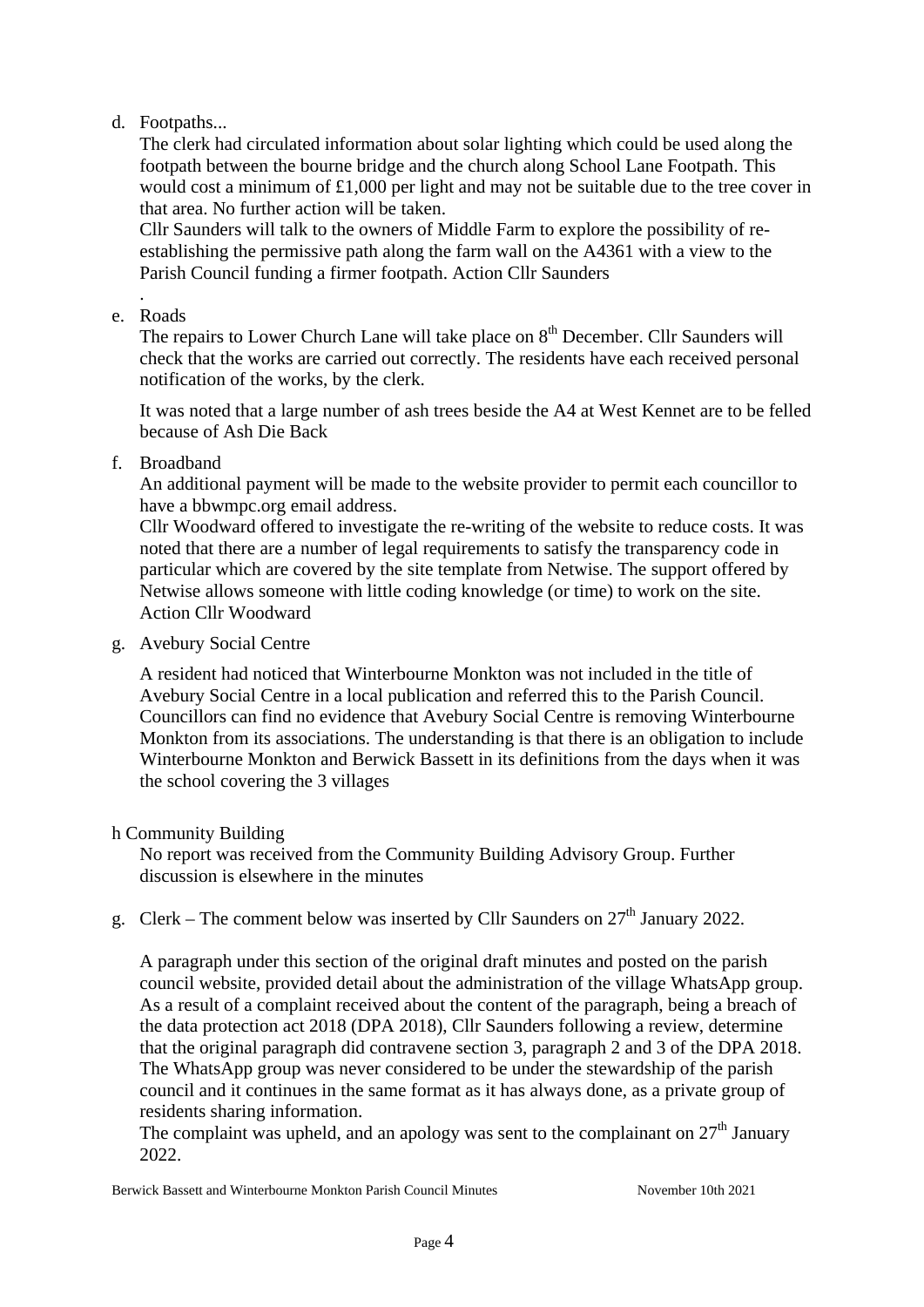# d. Footpaths...

The clerk had circulated information about solar lighting which could be used along the footpath between the bourne bridge and the church along School Lane Footpath. This would cost a minimum of £1,000 per light and may not be suitable due to the tree cover in that area. No further action will be taken.

Cllr Saunders will talk to the owners of Middle Farm to explore the possibility of reestablishing the permissive path along the farm wall on the A4361 with a view to the Parish Council funding a firmer footpath. Action Cllr Saunders

#### . e. Roads

The repairs to Lower Church Lane will take place on  $8<sup>th</sup>$  December. Cllr Saunders will check that the works are carried out correctly. The residents have each received personal notification of the works, by the clerk.

It was noted that a large number of ash trees beside the A4 at West Kennet are to be felled because of Ash Die Back

f. Broadband

An additional payment will be made to the website provider to permit each councillor to have a bbwmpc.org email address.

Cllr Woodward offered to investigate the re-writing of the website to reduce costs. It was noted that there are a number of legal requirements to satisfy the transparency code in particular which are covered by the site template from Netwise. The support offered by Netwise allows someone with little coding knowledge (or time) to work on the site. Action Cllr Woodward

g. Avebury Social Centre

A resident had noticed that Winterbourne Monkton was not included in the title of Avebury Social Centre in a local publication and referred this to the Parish Council. Councillors can find no evidence that Avebury Social Centre is removing Winterbourne Monkton from its associations. The understanding is that there is an obligation to include Winterbourne Monkton and Berwick Bassett in its definitions from the days when it was the school covering the 3 villages

## h Community Building

No report was received from the Community Building Advisory Group. Further discussion is elsewhere in the minutes

g. Clerk – The comment below was inserted by Cllr Saunders on  $27<sup>th</sup>$  January 2022.

A paragraph under this section of the original draft minutes and posted on the parish council website, provided detail about the administration of the village WhatsApp group. As a result of a complaint received about the content of the paragraph, being a breach of the data protection act 2018 (DPA 2018), Cllr Saunders following a review, determine that the original paragraph did contravene section 3, paragraph 2 and 3 of the DPA 2018. The WhatsApp group was never considered to be under the stewardship of the parish council and it continues in the same format as it has always done, as a private group of residents sharing information.

The complaint was upheld, and an apology was sent to the complainant on  $27<sup>th</sup>$  January 2022.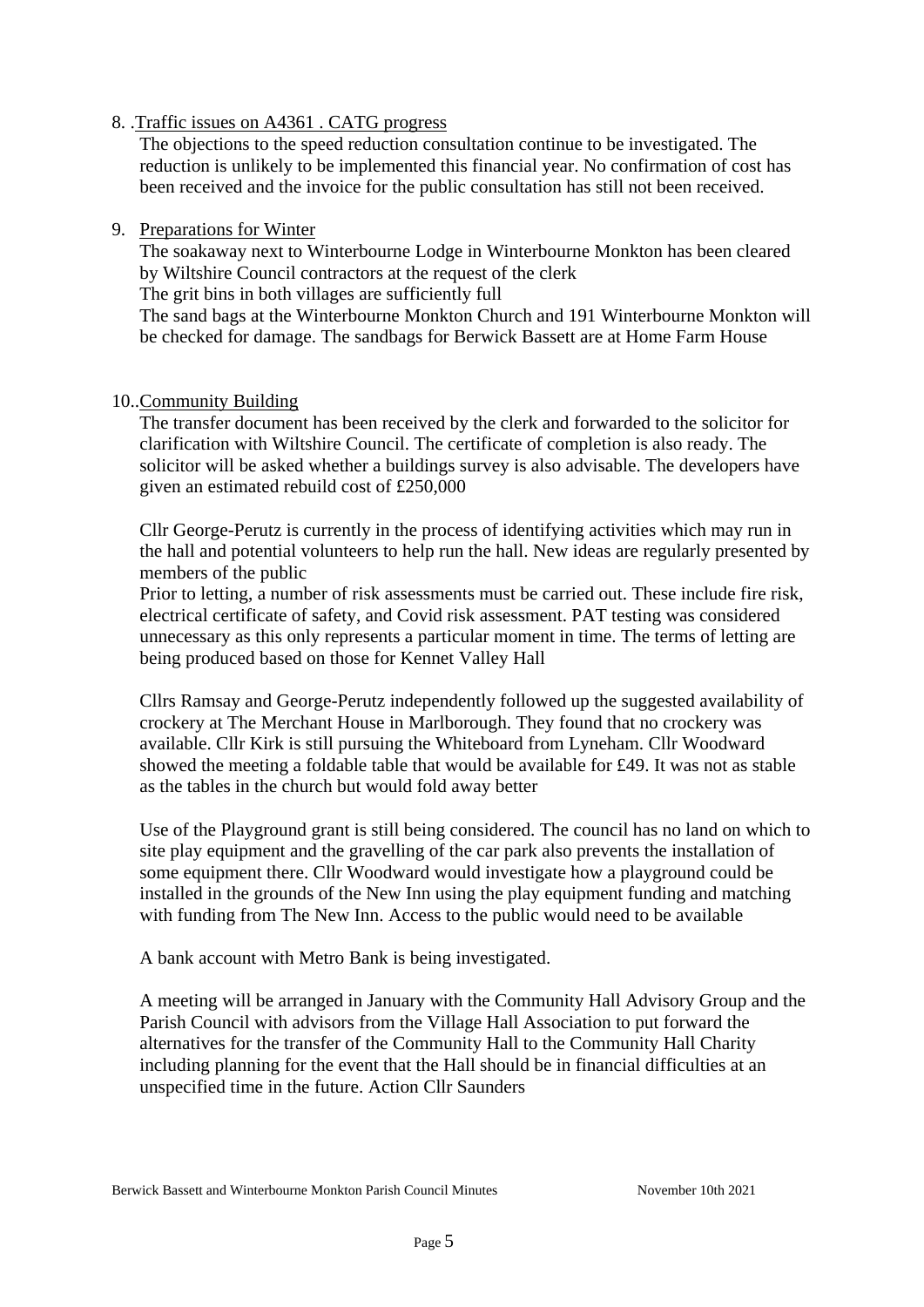## 8. .Traffic issues on A4361 . CATG progress

The objections to the speed reduction consultation continue to be investigated. The reduction is unlikely to be implemented this financial year. No confirmation of cost has been received and the invoice for the public consultation has still not been received.

### 9. Preparations for Winter

The soakaway next to Winterbourne Lodge in Winterbourne Monkton has been cleared by Wiltshire Council contractors at the request of the clerk

The grit bins in both villages are sufficiently full

The sand bags at the Winterbourne Monkton Church and 191 Winterbourne Monkton will be checked for damage. The sandbags for Berwick Bassett are at Home Farm House

### 10..Community Building

The transfer document has been received by the clerk and forwarded to the solicitor for clarification with Wiltshire Council. The certificate of completion is also ready. The solicitor will be asked whether a buildings survey is also advisable. The developers have given an estimated rebuild cost of £250,000

Cllr George-Perutz is currently in the process of identifying activities which may run in the hall and potential volunteers to help run the hall. New ideas are regularly presented by members of the public

Prior to letting, a number of risk assessments must be carried out. These include fire risk, electrical certificate of safety, and Covid risk assessment. PAT testing was considered unnecessary as this only represents a particular moment in time. The terms of letting are being produced based on those for Kennet Valley Hall

Cllrs Ramsay and George-Perutz independently followed up the suggested availability of crockery at The Merchant House in Marlborough. They found that no crockery was available. Cllr Kirk is still pursuing the Whiteboard from Lyneham. Cllr Woodward showed the meeting a foldable table that would be available for £49. It was not as stable as the tables in the church but would fold away better

Use of the Playground grant is still being considered. The council has no land on which to site play equipment and the gravelling of the car park also prevents the installation of some equipment there. Cllr Woodward would investigate how a playground could be installed in the grounds of the New Inn using the play equipment funding and matching with funding from The New Inn. Access to the public would need to be available

A bank account with Metro Bank is being investigated.

A meeting will be arranged in January with the Community Hall Advisory Group and the Parish Council with advisors from the Village Hall Association to put forward the alternatives for the transfer of the Community Hall to the Community Hall Charity including planning for the event that the Hall should be in financial difficulties at an unspecified time in the future. Action Cllr Saunders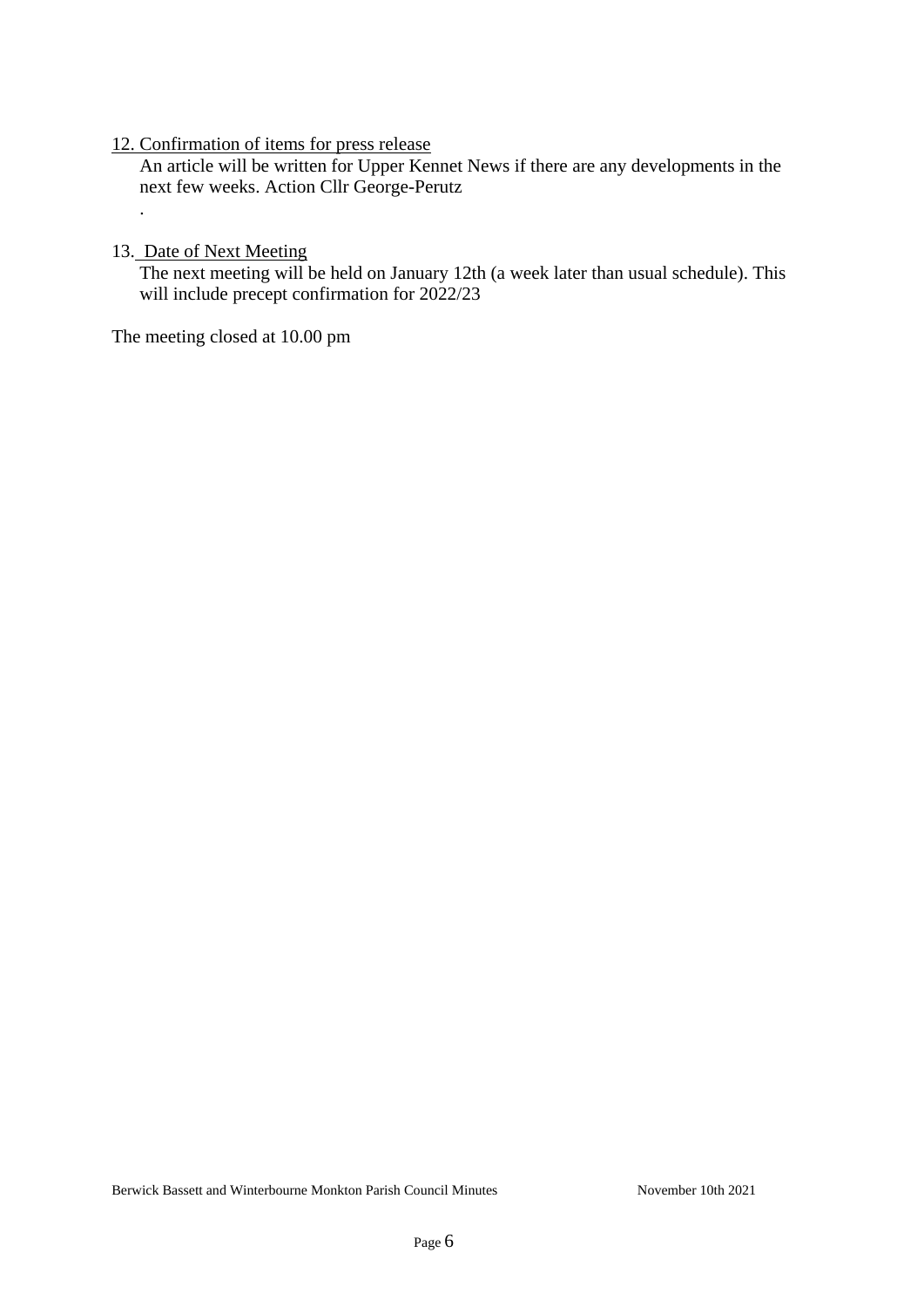### 12. Confirmation of items for press release

 An article will be written for Upper Kennet News if there are any developments in the next few weeks. Action Cllr George-Perutz

#### 13. Date of Next Meeting

.

The next meeting will be held on January 12th (a week later than usual schedule). This will include precept confirmation for 2022/23

The meeting closed at 10.00 pm